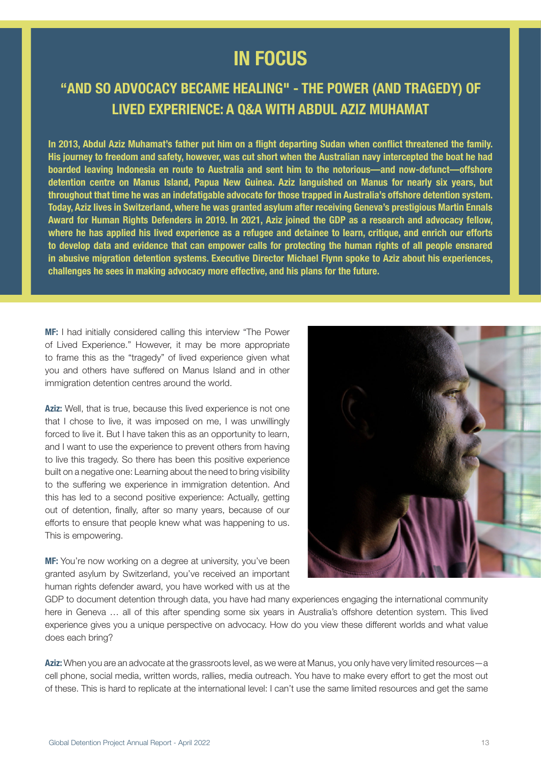## **IN FOCUS**

## **"AND SO ADVOCACY BECAME HEALING" - THE POWER (AND TRAGEDY) OF LIVED EXPERIENCE: A Q&A WITH ABDUL AZIZ MUHAMAT**

In 2013, Abdul Aziz Muhamat's father put him on a flight departing Sudan when conflict threatened the family. His journey to freedom and safety, however, was cut short when the Australian navy intercepted the boat he had boarded leaving Indonesia en route to Australia and sent him to the notorious—and now-defunct—offshore detention centre on Manus Island, Papua New Guinea. Aziz languished on Manus for nearly six years, but throughout that time he was an indefatigable advocate for those trapped in Australia's offshore detention system. Today, Aziz lives in Switzerland, where he was granted asylum after receiving Geneva's prestigious Martin Ennals Award for Human Rights Defenders in 2019. In 2021, Aziz joined the GDP as a research and advocacy fellow, where he has applied his lived experience as a refugee and detainee to learn, critique, and enrich our efforts to develop data and evidence that can empower calls for protecting the human rights of all people ensnared in abusive migration detention systems. Executive Director Michael Flynn spoke to Aziz about his experiences, challenges he sees in making advocacy more effective, and his plans for the future.

MF: I had initially considered calling this interview "The Power of Lived Experience." However, it may be more appropriate to frame this as the "tragedy" of lived experience given what you and others have suffered on Manus Island and in other immigration detention centres around the world.

Aziz: Well, that is true, because this lived experience is not one that I chose to live, it was imposed on me, I was unwillingly forced to live it. But I have taken this as an opportunity to learn, and I want to use the experience to prevent others from having to live this tragedy. So there has been this positive experience built on a negative one: Learning about the need to bring visibility to the suffering we experience in immigration detention. And this has led to a second positive experience: Actually, getting out of detention, finally, after so many years, because of our efforts to ensure that people knew what was happening to us. This is empowering.

MF: You're now working on a degree at university, you've been granted asylum by Switzerland, you've received an important human rights defender award, you have worked with us at the



GDP to document detention through data, you have had many experiences engaging the international community here in Geneva … all of this after spending some six years in Australia's offshore detention system. This lived experience gives you a unique perspective on advocacy. How do you view these different worlds and what value does each bring?

Aziz: When you are an advocate at the grassroots level, as we were at Manus, you only have very limited resources—a cell phone, social media, written words, rallies, media outreach. You have to make every effort to get the most out of these. This is hard to replicate at the international level: I can't use the same limited resources and get the same